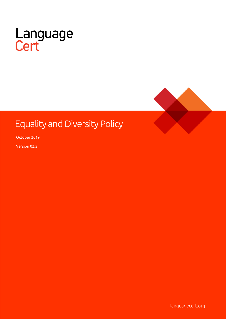



# **Equality and Diversity Policy**

October 2019

Version 02.2

languagecert.org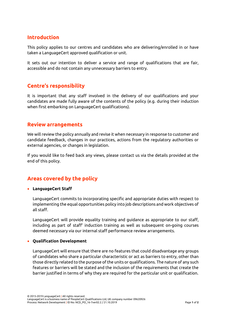# **Introduction**

This policy applies to our centres and candidates who are delivering/enrolled in or have taken a LanguageCert approved qualification or unit.

It sets out our intention to deliver a service and range of qualifications that are fair, accessible and do not contain any unnecessary barriers to entry.

# **Centre's responsibility**

It is important that any staff involved in the delivery of our qualifications and your candidates are made fully aware of the contents of the policy (e.g. during their induction when first embarking on LanguageCert qualifications).

## **Review arrangements**

We will review the policy annually and revise it when necessary in response to customer and candidate feedback, changes in our practices, actions from the regulatory authorities or external agencies, or changes in legislation.

If you would like to feed back any views, please contact us via the details provided at the end of this policy.

# **Areas covered by the policy**

#### • **LanguageCert Staff**

LanguageCert commits to incorporating specific and appropriate duties with respect to implementing the equal opportunities policy into job descriptions and work objectives of all staff.

LanguageCert will provide equality training and guidance as appropriate to our staff, including as part of staff' induction training as well as subsequent on-going courses deemed necessary via our internal staff performance review arrangements.

### • **Qualification Development**

LanguageCert will ensure that there are no features that could disadvantage any groups of candidates who share a particular characteristic or act as barriers to entry, other than those directly related to the purpose of the units or qualifications. The nature of any such features or barriers will be stated and the inclusion of the requirements that create the barrier justified in terms of why they are required for the particular unit or qualification.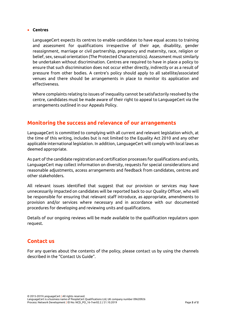#### • **Centres**

LanguageCert expects its centres to enable candidates to have equal access to training and assessment for qualifications irrespective of their age, disability, gender reassignment, marriage or civil partnership, pregnancy and maternity, race, religion or belief, sex, sexual orientation (The Protected Characteristics). Assessment must similarly be undertaken without discrimination. Centres are required to have in place a policy to ensure that such discrimination does not occur either directly, indirectly or as a result of pressure from other bodies. A centre's policy should apply to all satellite/associated venues and there should be arrangements in place to monitor its application and effectiveness.

Where complaints relating to issues of inequality cannot be satisfactorily resolved by the centre, candidates must be made aware of their right to appeal to LanguageCert via the arrangements outlined in our Appeals Policy.

# **Monitoring the success and relevance of our arrangements**

LanguageCert is committed to complying with all current and relevant legislation which, at the time of this writing, includes but is not limited to the Equality Act 2010 and any other applicable international legislation. In addition, LanguageCert will comply with local laws as deemed appropriate.

As part of the candidate registration and certification processes for qualifications and units, LanguageCert may collect information on diversity, requests for special considerations and reasonable adjustments, access arrangements and feedback from candidates, centres and other stakeholders.

All relevant issues identified that suggest that our provision or services may have unnecessarily impacted on candidates will be reported back to our Quality Officer, who will be responsible for ensuring that relevant staff introduce, as appropriate, amendments to provision and/or services where necessary and in accordance with our documented procedures for developing and reviewing units and qualifications.

Details of our ongoing reviews will be made available to the qualification regulators upon request.

# **Contact us**

For any queries about the contents of the policy, please contact us by using the channels described in the "Contact Us Guide".